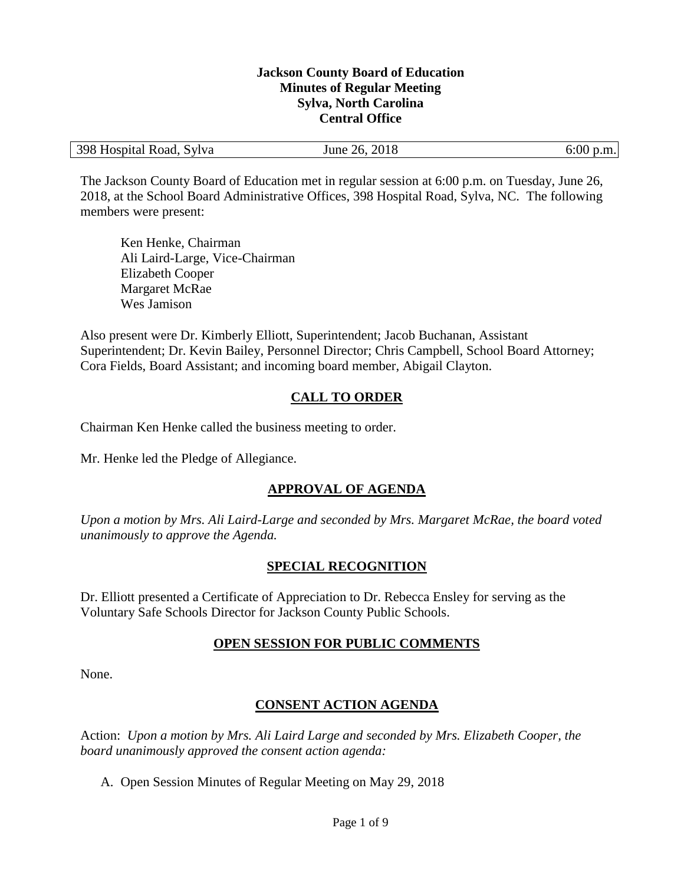#### **Jackson County Board of Education Minutes of Regular Meeting Sylva, North Carolina Central Office**

| 398 Hospital Road, Sylva | June 26, 2018 | $6:00$ p.m. |
|--------------------------|---------------|-------------|
|--------------------------|---------------|-------------|

The Jackson County Board of Education met in regular session at 6:00 p.m. on Tuesday, June 26, 2018, at the School Board Administrative Offices, 398 Hospital Road, Sylva, NC. The following members were present:

Ken Henke, Chairman Ali Laird-Large, Vice-Chairman Elizabeth Cooper Margaret McRae Wes Jamison

Also present were Dr. Kimberly Elliott, Superintendent; Jacob Buchanan, Assistant Superintendent; Dr. Kevin Bailey, Personnel Director; Chris Campbell, School Board Attorney; Cora Fields, Board Assistant; and incoming board member, Abigail Clayton.

## **CALL TO ORDER**

Chairman Ken Henke called the business meeting to order.

Mr. Henke led the Pledge of Allegiance.

## **APPROVAL OF AGENDA**

*Upon a motion by Mrs. Ali Laird-Large and seconded by Mrs. Margaret McRae, the board voted unanimously to approve the Agenda.*

## **SPECIAL RECOGNITION**

Dr. Elliott presented a Certificate of Appreciation to Dr. Rebecca Ensley for serving as the Voluntary Safe Schools Director for Jackson County Public Schools.

## **OPEN SESSION FOR PUBLIC COMMENTS**

None.

## **CONSENT ACTION AGENDA**

Action: *Upon a motion by Mrs. Ali Laird Large and seconded by Mrs. Elizabeth Cooper, the board unanimously approved the consent action agenda:*

A. Open Session Minutes of Regular Meeting on May 29, 2018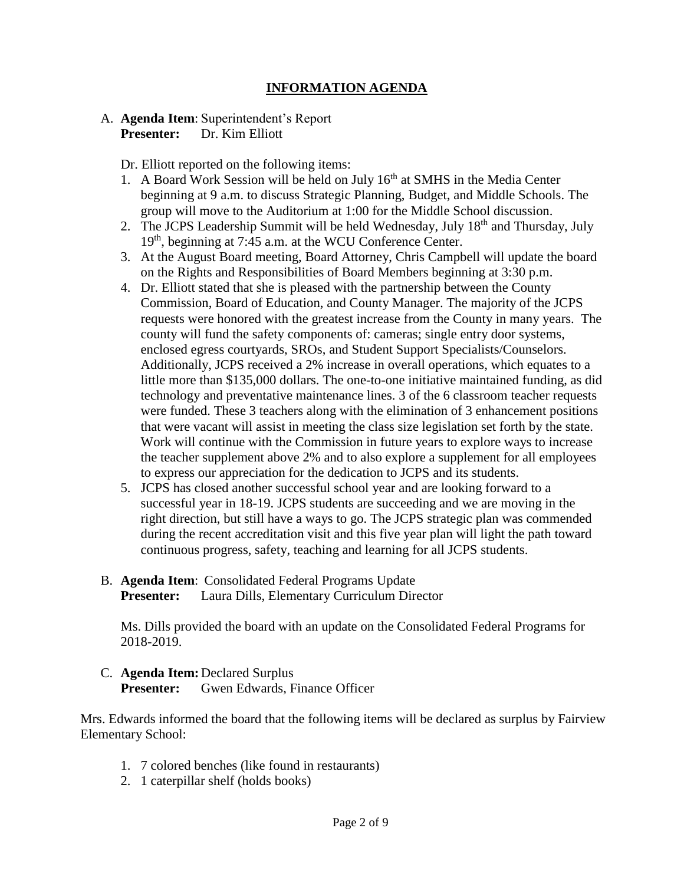## **INFORMATION AGENDA**

#### A. **Agenda Item**: Superintendent's Report **Presenter:** Dr. Kim Elliott

Dr. Elliott reported on the following items:

- 1. A Board Work Session will be held on July  $16<sup>th</sup>$  at SMHS in the Media Center beginning at 9 a.m. to discuss Strategic Planning, Budget, and Middle Schools. The group will move to the Auditorium at 1:00 for the Middle School discussion.
- 2. The JCPS Leadership Summit will be held Wednesday, July 18<sup>th</sup> and Thursday, July 19<sup>th</sup>, beginning at 7:45 a.m. at the WCU Conference Center.
- 3. At the August Board meeting, Board Attorney, Chris Campbell will update the board on the Rights and Responsibilities of Board Members beginning at 3:30 p.m.
- 4. Dr. Elliott stated that she is pleased with the partnership between the County Commission, Board of Education, and County Manager. The majority of the JCPS requests were honored with the greatest increase from the County in many years. The county will fund the safety components of: cameras; single entry door systems, enclosed egress courtyards, SROs, and Student Support Specialists/Counselors. Additionally, JCPS received a 2% increase in overall operations, which equates to a little more than \$135,000 dollars. The one-to-one initiative maintained funding, as did technology and preventative maintenance lines. 3 of the 6 classroom teacher requests were funded. These 3 teachers along with the elimination of 3 enhancement positions that were vacant will assist in meeting the class size legislation set forth by the state. Work will continue with the Commission in future years to explore ways to increase the teacher supplement above 2% and to also explore a supplement for all employees to express our appreciation for the dedication to JCPS and its students.
- 5. JCPS has closed another successful school year and are looking forward to a successful year in 18-19. JCPS students are succeeding and we are moving in the right direction, but still have a ways to go. The JCPS strategic plan was commended during the recent accreditation visit and this five year plan will light the path toward continuous progress, safety, teaching and learning for all JCPS students.

## B. **Agenda Item**: Consolidated Federal Programs Update **Presenter:** Laura Dills, Elementary Curriculum Director

Ms. Dills provided the board with an update on the Consolidated Federal Programs for 2018-2019.

## C. **Agenda Item:** Declared Surplus **Presenter:** Gwen Edwards, Finance Officer

Mrs. Edwards informed the board that the following items will be declared as surplus by Fairview Elementary School:

- 1. 7 colored benches (like found in restaurants)
- 2. 1 caterpillar shelf (holds books)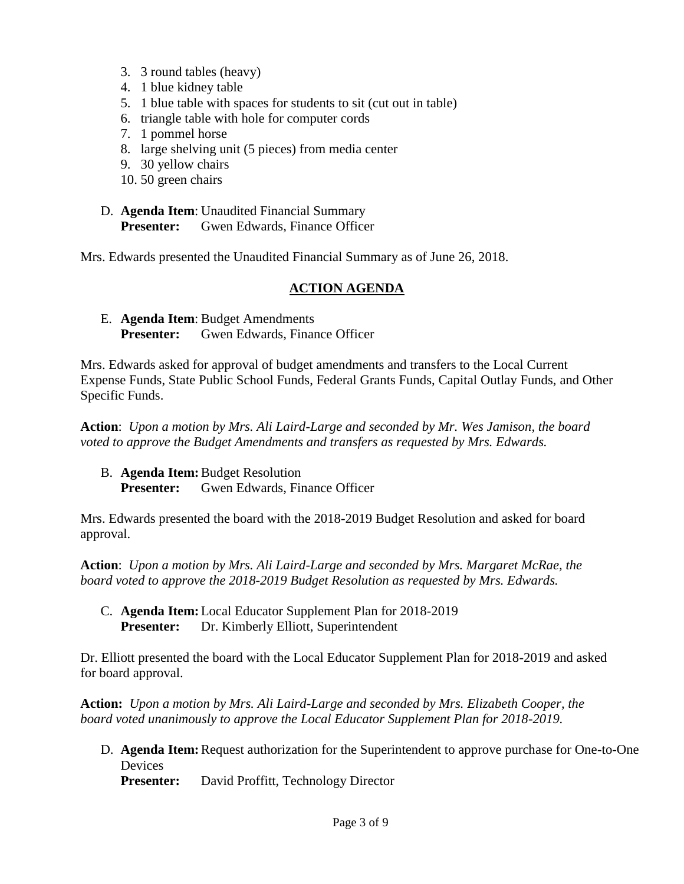- 3. 3 round tables (heavy)
- 4. 1 blue kidney table
- 5. 1 blue table with spaces for students to sit (cut out in table)
- 6. triangle table with hole for computer cords
- 7. 1 pommel horse
- 8. large shelving unit (5 pieces) from media center
- 9. 30 yellow chairs
- 10. 50 green chairs
- D. **Agenda Item**: Unaudited Financial Summary **Presenter:** Gwen Edwards, Finance Officer

Mrs. Edwards presented the Unaudited Financial Summary as of June 26, 2018.

## **ACTION AGENDA**

E. **Agenda Item**: Budget Amendments **Presenter:** Gwen Edwards, Finance Officer

Mrs. Edwards asked for approval of budget amendments and transfers to the Local Current Expense Funds, State Public School Funds, Federal Grants Funds, Capital Outlay Funds, and Other Specific Funds.

**Action**: *Upon a motion by Mrs. Ali Laird-Large and seconded by Mr. Wes Jamison, the board voted to approve the Budget Amendments and transfers as requested by Mrs. Edwards.*

B. **Agenda Item:**Budget Resolution **Presenter:** Gwen Edwards, Finance Officer

Mrs. Edwards presented the board with the 2018-2019 Budget Resolution and asked for board approval.

**Action**: *Upon a motion by Mrs. Ali Laird-Large and seconded by Mrs. Margaret McRae, the board voted to approve the 2018-2019 Budget Resolution as requested by Mrs. Edwards.* 

C. **Agenda Item:**Local Educator Supplement Plan for 2018-2019 **Presenter:** Dr. Kimberly Elliott, Superintendent

Dr. Elliott presented the board with the Local Educator Supplement Plan for 2018-2019 and asked for board approval.

**Action:** *Upon a motion by Mrs. Ali Laird-Large and seconded by Mrs. Elizabeth Cooper, the board voted unanimously to approve the Local Educator Supplement Plan for 2018-2019.*

D. **Agenda Item:**Request authorization for the Superintendent to approve purchase for One-to-One **Devices** 

**Presenter:** David Proffitt, Technology Director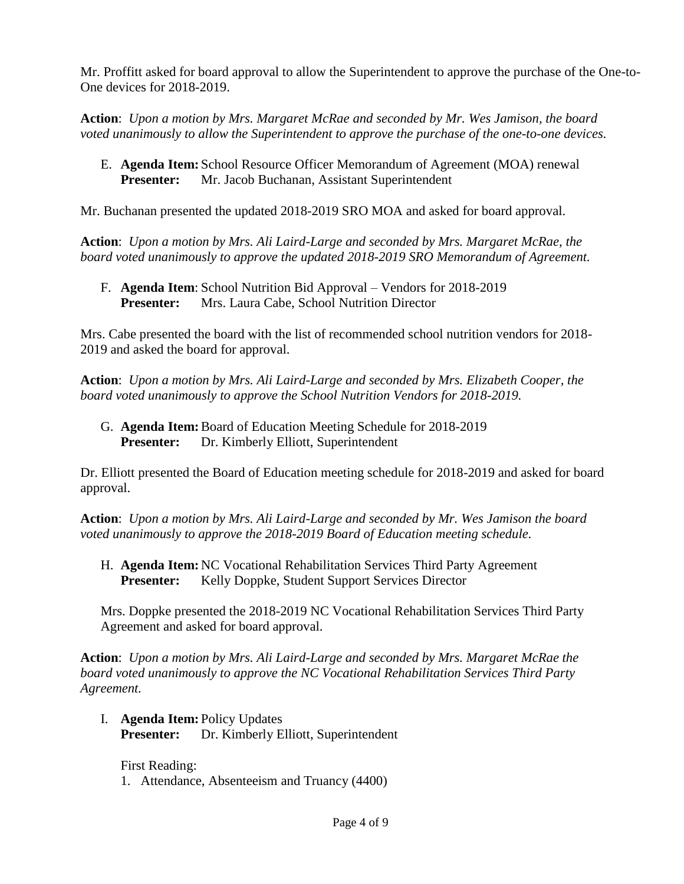Mr. Proffitt asked for board approval to allow the Superintendent to approve the purchase of the One-to-One devices for 2018-2019.

**Action**: *Upon a motion by Mrs. Margaret McRae and seconded by Mr. Wes Jamison, the board voted unanimously to allow the Superintendent to approve the purchase of the one-to-one devices.*

E. **Agenda Item:** School Resource Officer Memorandum of Agreement (MOA) renewal **Presenter:** Mr. Jacob Buchanan, Assistant Superintendent

Mr. Buchanan presented the updated 2018-2019 SRO MOA and asked for board approval.

**Action**: *Upon a motion by Mrs. Ali Laird-Large and seconded by Mrs. Margaret McRae, the board voted unanimously to approve the updated 2018-2019 SRO Memorandum of Agreement.*

F. **Agenda Item**: School Nutrition Bid Approval – Vendors for 2018-2019 **Presenter:** Mrs. Laura Cabe, School Nutrition Director

Mrs. Cabe presented the board with the list of recommended school nutrition vendors for 2018- 2019 and asked the board for approval.

**Action**: *Upon a motion by Mrs. Ali Laird-Large and seconded by Mrs. Elizabeth Cooper, the board voted unanimously to approve the School Nutrition Vendors for 2018-2019.* 

G. **Agenda Item:**Board of Education Meeting Schedule for 2018-2019 **Presenter:** Dr. Kimberly Elliott, Superintendent

Dr. Elliott presented the Board of Education meeting schedule for 2018-2019 and asked for board approval.

**Action**: *Upon a motion by Mrs. Ali Laird-Large and seconded by Mr. Wes Jamison the board voted unanimously to approve the 2018-2019 Board of Education meeting schedule.*

H. **Agenda Item:** NC Vocational Rehabilitation Services Third Party Agreement **Presenter:** Kelly Doppke, Student Support Services Director

Mrs. Doppke presented the 2018-2019 NC Vocational Rehabilitation Services Third Party Agreement and asked for board approval.

**Action**: *Upon a motion by Mrs. Ali Laird-Large and seconded by Mrs. Margaret McRae the board voted unanimously to approve the NC Vocational Rehabilitation Services Third Party Agreement.*

I. **Agenda Item:** Policy Updates **Presenter:** Dr. Kimberly Elliott, Superintendent

First Reading: 1. Attendance, Absenteeism and Truancy (4400)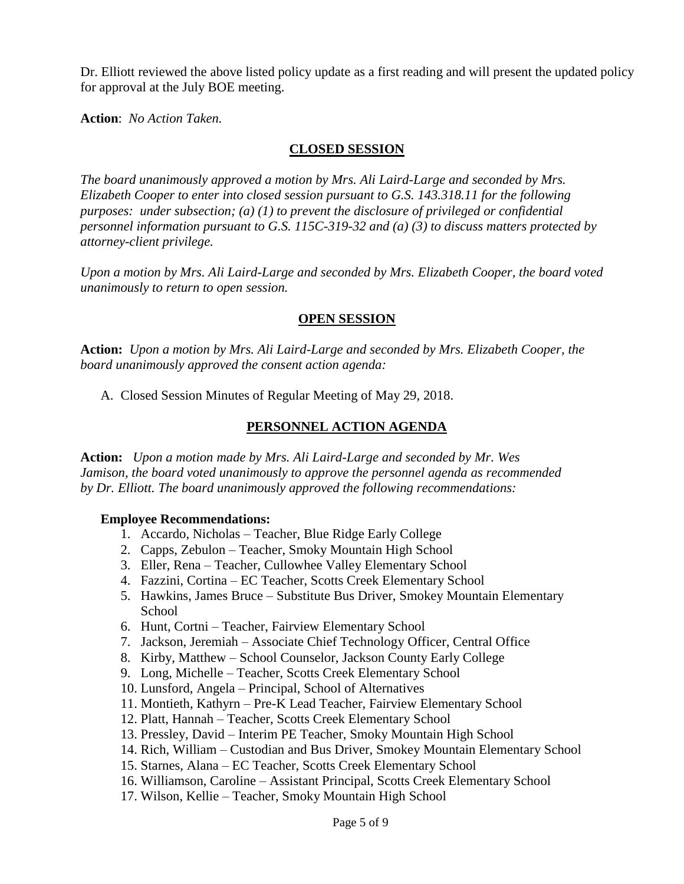Dr. Elliott reviewed the above listed policy update as a first reading and will present the updated policy for approval at the July BOE meeting.

**Action**: *No Action Taken.*

### **CLOSED SESSION**

*The board unanimously approved a motion by Mrs. Ali Laird-Large and seconded by Mrs. Elizabeth Cooper to enter into closed session pursuant to G.S. 143.318.11 for the following purposes: under subsection; (a) (1) to prevent the disclosure of privileged or confidential personnel information pursuant to G.S. 115C-319-32 and (a) (3) to discuss matters protected by attorney-client privilege.* 

*Upon a motion by Mrs. Ali Laird-Large and seconded by Mrs. Elizabeth Cooper, the board voted unanimously to return to open session.*

## **OPEN SESSION**

**Action:** *Upon a motion by Mrs. Ali Laird-Large and seconded by Mrs. Elizabeth Cooper, the board unanimously approved the consent action agenda:*

A. Closed Session Minutes of Regular Meeting of May 29, 2018.

## **PERSONNEL ACTION AGENDA**

**Action:** *Upon a motion made by Mrs. Ali Laird-Large and seconded by Mr. Wes Jamison, the board voted unanimously to approve the personnel agenda as recommended by Dr. Elliott. The board unanimously approved the following recommendations:*

#### **Employee Recommendations:**

- 1. Accardo, Nicholas Teacher, Blue Ridge Early College
- 2. Capps, Zebulon Teacher, Smoky Mountain High School
- 3. Eller, Rena Teacher, Cullowhee Valley Elementary School
- 4. Fazzini, Cortina EC Teacher, Scotts Creek Elementary School
- 5. Hawkins, James Bruce Substitute Bus Driver, Smokey Mountain Elementary **School**
- 6. Hunt, Cortni Teacher, Fairview Elementary School
- 7. Jackson, Jeremiah Associate Chief Technology Officer, Central Office
- 8. Kirby, Matthew School Counselor, Jackson County Early College
- 9. Long, Michelle Teacher, Scotts Creek Elementary School
- 10. Lunsford, Angela Principal, School of Alternatives
- 11. Montieth, Kathyrn Pre-K Lead Teacher, Fairview Elementary School
- 12. Platt, Hannah Teacher, Scotts Creek Elementary School
- 13. Pressley, David Interim PE Teacher, Smoky Mountain High School
- 14. Rich, William Custodian and Bus Driver, Smokey Mountain Elementary School
- 15. Starnes, Alana EC Teacher, Scotts Creek Elementary School
- 16. Williamson, Caroline Assistant Principal, Scotts Creek Elementary School
- 17. Wilson, Kellie Teacher, Smoky Mountain High School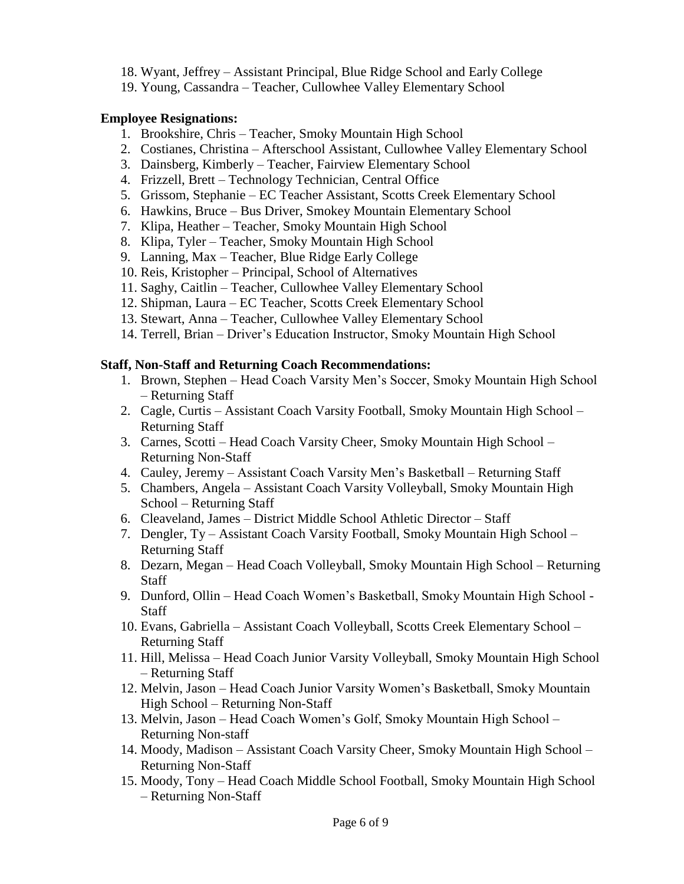- 18. Wyant, Jeffrey Assistant Principal, Blue Ridge School and Early College
- 19. Young, Cassandra Teacher, Cullowhee Valley Elementary School

### **Employee Resignations:**

- 1. Brookshire, Chris Teacher, Smoky Mountain High School
- 2. Costianes, Christina Afterschool Assistant, Cullowhee Valley Elementary School
- 3. Dainsberg, Kimberly Teacher, Fairview Elementary School
- 4. Frizzell, Brett Technology Technician, Central Office
- 5. Grissom, Stephanie EC Teacher Assistant, Scotts Creek Elementary School
- 6. Hawkins, Bruce Bus Driver, Smokey Mountain Elementary School
- 7. Klipa, Heather Teacher, Smoky Mountain High School
- 8. Klipa, Tyler Teacher, Smoky Mountain High School
- 9. Lanning, Max Teacher, Blue Ridge Early College
- 10. Reis, Kristopher Principal, School of Alternatives
- 11. Saghy, Caitlin Teacher, Cullowhee Valley Elementary School
- 12. Shipman, Laura EC Teacher, Scotts Creek Elementary School
- 13. Stewart, Anna Teacher, Cullowhee Valley Elementary School
- 14. Terrell, Brian Driver's Education Instructor, Smoky Mountain High School

#### **Staff, Non-Staff and Returning Coach Recommendations:**

- 1. Brown, Stephen Head Coach Varsity Men's Soccer, Smoky Mountain High School – Returning Staff
- 2. Cagle, Curtis Assistant Coach Varsity Football, Smoky Mountain High School Returning Staff
- 3. Carnes, Scotti Head Coach Varsity Cheer, Smoky Mountain High School Returning Non-Staff
- 4. Cauley, Jeremy Assistant Coach Varsity Men's Basketball Returning Staff
- 5. Chambers, Angela Assistant Coach Varsity Volleyball, Smoky Mountain High School – Returning Staff
- 6. Cleaveland, James District Middle School Athletic Director Staff
- 7. Dengler, Ty Assistant Coach Varsity Football, Smoky Mountain High School Returning Staff
- 8. Dezarn, Megan Head Coach Volleyball, Smoky Mountain High School Returning Staff
- 9. Dunford, Ollin Head Coach Women's Basketball, Smoky Mountain High School **Staff**
- 10. Evans, Gabriella Assistant Coach Volleyball, Scotts Creek Elementary School Returning Staff
- 11. Hill, Melissa Head Coach Junior Varsity Volleyball, Smoky Mountain High School – Returning Staff
- 12. Melvin, Jason Head Coach Junior Varsity Women's Basketball, Smoky Mountain High School – Returning Non-Staff
- 13. Melvin, Jason Head Coach Women's Golf, Smoky Mountain High School Returning Non-staff
- 14. Moody, Madison Assistant Coach Varsity Cheer, Smoky Mountain High School Returning Non-Staff
- 15. Moody, Tony Head Coach Middle School Football, Smoky Mountain High School – Returning Non-Staff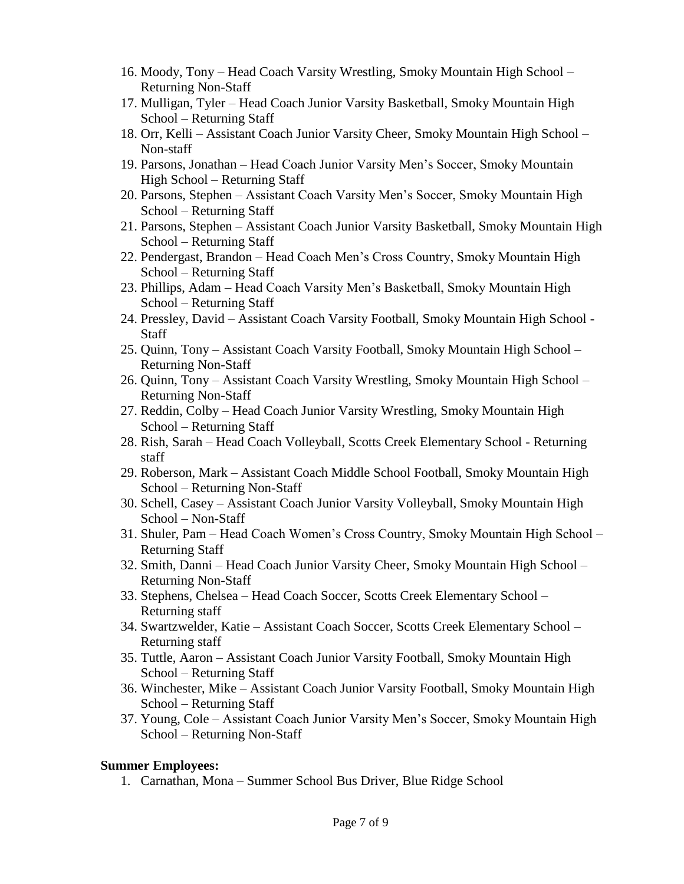- 16. Moody, Tony Head Coach Varsity Wrestling, Smoky Mountain High School Returning Non-Staff
- 17. Mulligan, Tyler Head Coach Junior Varsity Basketball, Smoky Mountain High School – Returning Staff
- 18. Orr, Kelli Assistant Coach Junior Varsity Cheer, Smoky Mountain High School Non-staff
- 19. Parsons, Jonathan Head Coach Junior Varsity Men's Soccer, Smoky Mountain High School – Returning Staff
- 20. Parsons, Stephen Assistant Coach Varsity Men's Soccer, Smoky Mountain High School – Returning Staff
- 21. Parsons, Stephen Assistant Coach Junior Varsity Basketball, Smoky Mountain High School – Returning Staff
- 22. Pendergast, Brandon Head Coach Men's Cross Country, Smoky Mountain High School – Returning Staff
- 23. Phillips, Adam Head Coach Varsity Men's Basketball, Smoky Mountain High School – Returning Staff
- 24. Pressley, David Assistant Coach Varsity Football, Smoky Mountain High School Staff
- 25. Quinn, Tony Assistant Coach Varsity Football, Smoky Mountain High School Returning Non-Staff
- 26. Quinn, Tony Assistant Coach Varsity Wrestling, Smoky Mountain High School Returning Non-Staff
- 27. Reddin, Colby Head Coach Junior Varsity Wrestling, Smoky Mountain High School – Returning Staff
- 28. Rish, Sarah Head Coach Volleyball, Scotts Creek Elementary School Returning staff
- 29. Roberson, Mark Assistant Coach Middle School Football, Smoky Mountain High School – Returning Non-Staff
- 30. Schell, Casey Assistant Coach Junior Varsity Volleyball, Smoky Mountain High School – Non-Staff
- 31. Shuler, Pam Head Coach Women's Cross Country, Smoky Mountain High School Returning Staff
- 32. Smith, Danni Head Coach Junior Varsity Cheer, Smoky Mountain High School Returning Non-Staff
- 33. Stephens, Chelsea Head Coach Soccer, Scotts Creek Elementary School Returning staff
- 34. Swartzwelder, Katie Assistant Coach Soccer, Scotts Creek Elementary School Returning staff
- 35. Tuttle, Aaron Assistant Coach Junior Varsity Football, Smoky Mountain High School – Returning Staff
- 36. Winchester, Mike Assistant Coach Junior Varsity Football, Smoky Mountain High School – Returning Staff
- 37. Young, Cole Assistant Coach Junior Varsity Men's Soccer, Smoky Mountain High School – Returning Non-Staff

#### **Summer Employees:**

1. Carnathan, Mona – Summer School Bus Driver, Blue Ridge School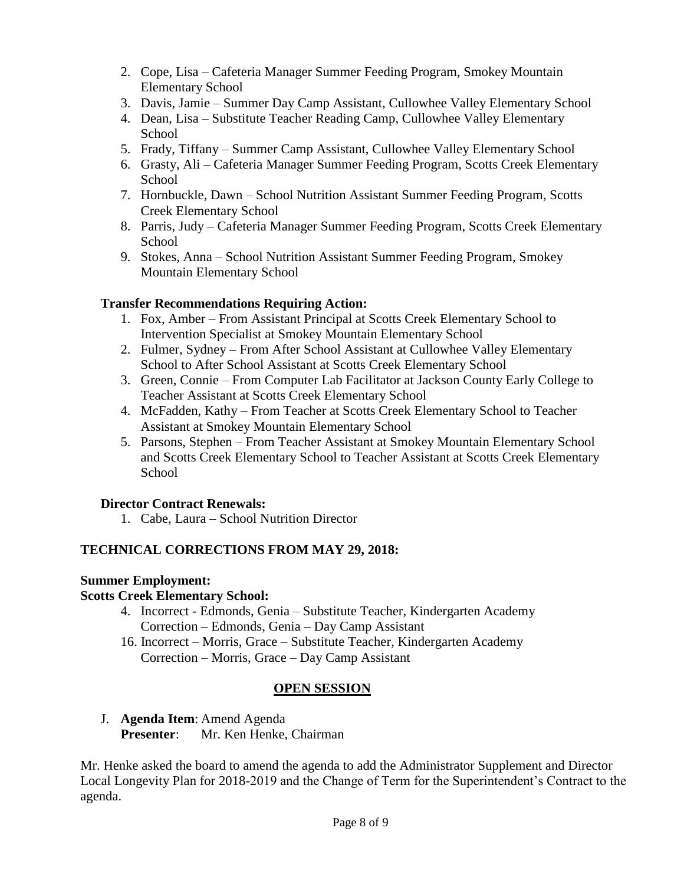- 2. Cope, Lisa Cafeteria Manager Summer Feeding Program, Smokey Mountain Elementary School
- 3. Davis, Jamie Summer Day Camp Assistant, Cullowhee Valley Elementary School
- 4. Dean, Lisa Substitute Teacher Reading Camp, Cullowhee Valley Elementary School
- 5. Frady, Tiffany Summer Camp Assistant, Cullowhee Valley Elementary School
- 6. Grasty, Ali Cafeteria Manager Summer Feeding Program, Scotts Creek Elementary School
- 7. Hornbuckle, Dawn School Nutrition Assistant Summer Feeding Program, Scotts Creek Elementary School
- 8. Parris, Judy Cafeteria Manager Summer Feeding Program, Scotts Creek Elementary **School**
- 9. Stokes, Anna School Nutrition Assistant Summer Feeding Program, Smokey Mountain Elementary School

## **Transfer Recommendations Requiring Action:**

- 1. Fox, Amber From Assistant Principal at Scotts Creek Elementary School to Intervention Specialist at Smokey Mountain Elementary School
- 2. Fulmer, Sydney From After School Assistant at Cullowhee Valley Elementary School to After School Assistant at Scotts Creek Elementary School
- 3. Green, Connie From Computer Lab Facilitator at Jackson County Early College to Teacher Assistant at Scotts Creek Elementary School
- 4. McFadden, Kathy From Teacher at Scotts Creek Elementary School to Teacher Assistant at Smokey Mountain Elementary School
- 5. Parsons, Stephen From Teacher Assistant at Smokey Mountain Elementary School and Scotts Creek Elementary School to Teacher Assistant at Scotts Creek Elementary School

# **Director Contract Renewals:**

1. Cabe, Laura – School Nutrition Director

## **TECHNICAL CORRECTIONS FROM MAY 29, 2018:**

## **Summer Employment:**

## **Scotts Creek Elementary School:**

- 4. Incorrect Edmonds, Genia Substitute Teacher, Kindergarten Academy Correction – Edmonds, Genia – Day Camp Assistant
- 16. Incorrect Morris, Grace Substitute Teacher, Kindergarten Academy Correction – Morris, Grace – Day Camp Assistant

## **OPEN SESSION**

J. **Agenda Item**: Amend Agenda **Presenter**: Mr. Ken Henke, Chairman

Mr. Henke asked the board to amend the agenda to add the Administrator Supplement and Director Local Longevity Plan for 2018-2019 and the Change of Term for the Superintendent's Contract to the agenda.